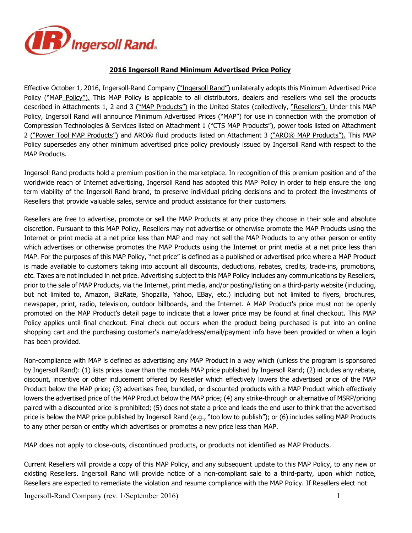

## **2016 Ingersoll Rand Minimum Advertised Price Policy**

Effective October 1, 2016, Ingersoll-Rand Company ("Ingersoll Rand") unilaterally adopts this Minimum Advertised Price Policy ("MAP Policy"). This MAP Policy is applicable to all distributors, dealers and resellers who sell the products described in Attachments 1, 2 and 3 ("MAP Products") in the United States (collectively, "Resellers"). Under this MAP Policy, Ingersoll Rand will announce Minimum Advertised Prices ("MAP") for use in connection with the promotion of Compression Technologies & Services listed on Attachment 1 ("CTS MAP Products"), power tools listed on Attachment 2 ("Power Tool MAP Products") and ARO® fluid products listed on Attachment 3 ("ARO® MAP Products"). This MAP Policy supersedes any other minimum advertised price policy previously issued by Ingersoll Rand with respect to the MAP Products.

Ingersoll Rand products hold a premium position in the marketplace. In recognition of this premium position and of the worldwide reach of Internet advertising, Ingersoll Rand has adopted this MAP Policy in order to help ensure the long term viability of the Ingersoll Rand brand, to preserve individual pricing decisions and to protect the investments of Resellers that provide valuable sales, service and product assistance for their customers.

Resellers are free to advertise, promote or sell the MAP Products at any price they choose in their sole and absolute discretion. Pursuant to this MAP Policy, Resellers may not advertise or otherwise promote the MAP Products using the Internet or print media at a net price less than MAP and may not sell the MAP Products to any other person or entity which advertises or otherwise promotes the MAP Products using the Internet or print media at a net price less than MAP. For the purposes of this MAP Policy, "net price" is defined as a published or advertised price where a MAP Product is made available to customers taking into account all discounts, deductions, rebates, credits, trade-ins, promotions, etc. Taxes are not included in net price. Advertising subject to this MAP Policy includes any communications by Resellers, prior to the sale of MAP Products, via the Internet, print media, and/or posting/listing on a third-party website (including, but not limited to, Amazon, BizRate, Shopzilla, Yahoo, EBay, etc.) including but not limited to flyers, brochures, newspaper, print, radio, television, outdoor billboards, and the Internet. A MAP Product's price must not be openly promoted on the MAP Product's detail page to indicate that a lower price may be found at final checkout. This MAP Policy applies until final checkout. Final check out occurs when the product being purchased is put into an online shopping cart and the purchasing customer's name/address/email/payment info have been provided or when a login has been provided.

Non-compliance with MAP is defined as advertising any MAP Product in a way which (unless the program is sponsored by Ingersoll Rand): (1) lists prices lower than the models MAP price published by Ingersoll Rand; (2) includes any rebate, discount, incentive or other inducement offered by Reseller which effectively lowers the advertised price of the MAP Product below the MAP price; (3) advertises free, bundled, or discounted products with a MAP Product which effectively lowers the advertised price of the MAP Product below the MAP price; (4) any strike-through or alternative of MSRP/pricing paired with a discounted price is prohibited; (5) does not state a price and leads the end user to think that the advertised price is below the MAP price published by Ingersoll Rand (e.g., "too low to publish"); or (6) includes selling MAP Products to any other person or entity which advertises or promotes a new price less than MAP.

MAP does not apply to close-outs, discontinued products, or products not identified as MAP Products.

Current Resellers will provide a copy of this MAP Policy, and any subsequent update to this MAP Policy, to any new or existing Resellers. Ingersoll Rand will provide notice of a non-compliant sale to a third-party, upon which notice, Resellers are expected to remediate the violation and resume compliance with the MAP Policy. If Resellers elect not

Ingersoll-Rand Company (rev. 1/September 2016) 1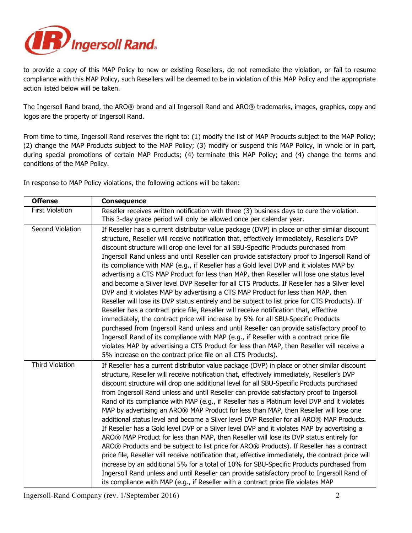

to provide a copy of this MAP Policy to new or existing Resellers, do not remediate the violation, or fail to resume compliance with this MAP Policy, such Resellers will be deemed to be in violation of this MAP Policy and the appropriate action listed below will be taken.

The Ingersoll Rand brand, the ARO® brand and all Ingersoll Rand and ARO® trademarks, images, graphics, copy and logos are the property of Ingersoll Rand.

From time to time, Ingersoll Rand reserves the right to: (1) modify the list of MAP Products subject to the MAP Policy; (2) change the MAP Products subject to the MAP Policy; (3) modify or suspend this MAP Policy, in whole or in part, during special promotions of certain MAP Products; (4) terminate this MAP Policy; and (4) change the terms and conditions of the MAP Policy.

In response to MAP Policy violations, the following actions will be taken:

| <b>Offense</b>         | <b>Consequence</b>                                                                                                                                                                                                                                                                                                                                                                                                                                                                                                                                                                                                                                                                                                                                                                                                                                                                                                                                                                                                                                                                                                                                                                                                                                                                                                                                                                                |
|------------------------|---------------------------------------------------------------------------------------------------------------------------------------------------------------------------------------------------------------------------------------------------------------------------------------------------------------------------------------------------------------------------------------------------------------------------------------------------------------------------------------------------------------------------------------------------------------------------------------------------------------------------------------------------------------------------------------------------------------------------------------------------------------------------------------------------------------------------------------------------------------------------------------------------------------------------------------------------------------------------------------------------------------------------------------------------------------------------------------------------------------------------------------------------------------------------------------------------------------------------------------------------------------------------------------------------------------------------------------------------------------------------------------------------|
| <b>First Violation</b> | Reseller receives written notification with three (3) business days to cure the violation.<br>This 3-day grace period will only be allowed once per calendar year.                                                                                                                                                                                                                                                                                                                                                                                                                                                                                                                                                                                                                                                                                                                                                                                                                                                                                                                                                                                                                                                                                                                                                                                                                                |
| Second Violation       | If Reseller has a current distributor value package (DVP) in place or other similar discount<br>structure, Reseller will receive notification that, effectively immediately, Reseller's DVP<br>discount structure will drop one level for all SBU-Specific Products purchased from<br>Ingersoll Rand unless and until Reseller can provide satisfactory proof to Ingersoll Rand of<br>its compliance with MAP (e.g., if Reseller has a Gold level DVP and it violates MAP by<br>advertising a CTS MAP Product for less than MAP, then Reseller will lose one status level<br>and become a Silver level DVP Reseller for all CTS Products. If Reseller has a Silver level<br>DVP and it violates MAP by advertising a CTS MAP Product for less than MAP, then<br>Reseller will lose its DVP status entirely and be subject to list price for CTS Products). If<br>Reseller has a contract price file, Reseller will receive notification that, effective<br>immediately, the contract price will increase by 5% for all SBU-Specific Products<br>purchased from Ingersoll Rand unless and until Reseller can provide satisfactory proof to<br>Ingersoll Rand of its compliance with MAP (e.g., if Reseller with a contract price file<br>violates MAP by advertising a CTS Product for less than MAP, then Reseller will receive a<br>5% increase on the contract price file on all CTS Products). |
| <b>Third Violation</b> | If Reseller has a current distributor value package (DVP) in place or other similar discount<br>structure, Reseller will receive notification that, effectively immediately, Reseller's DVP<br>discount structure will drop one additional level for all SBU-Specific Products purchased<br>from Ingersoll Rand unless and until Reseller can provide satisfactory proof to Ingersoll<br>Rand of its compliance with MAP (e.g., if Reseller has a Platinum level DVP and it violates<br>MAP by advertising an ARO® MAP Product for less than MAP, then Reseller will lose one<br>additional status level and become a Silver level DVP Reseller for all ARO® MAP Products.<br>If Reseller has a Gold level DVP or a Silver level DVP and it violates MAP by advertising a<br>ARO® MAP Product for less than MAP, then Reseller will lose its DVP status entirely for<br>ARO® Products and be subject to list price for ARO® Products). If Reseller has a contract<br>price file, Reseller will receive notification that, effective immediately, the contract price will<br>increase by an additional 5% for a total of 10% for SBU-Specific Products purchased from<br>Ingersoll Rand unless and until Reseller can provide satisfactory proof to Ingersoll Rand of<br>its compliance with MAP (e.g., if Reseller with a contract price file violates MAP                                        |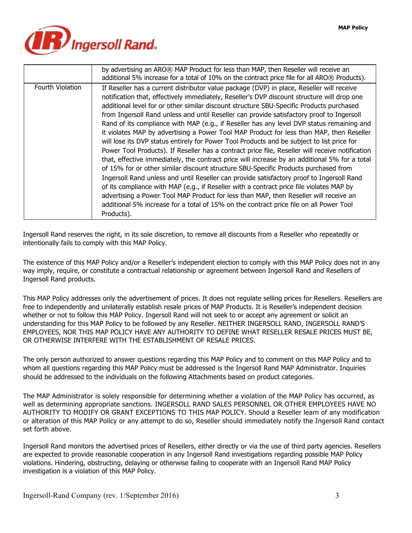

|                  | by advertising an ARO® MAP Product for less than MAP, then Reseller will receive an<br>additional 5% increase for a total of 10% on the contract price file for all ARO® Products).                                                                                                                                                                                                                                                                                                                                                                                                                                                                                                                                                                                                                                                                                                                                                                                                                                                                                                                                                                                                                                                                                                                                                                           |
|------------------|---------------------------------------------------------------------------------------------------------------------------------------------------------------------------------------------------------------------------------------------------------------------------------------------------------------------------------------------------------------------------------------------------------------------------------------------------------------------------------------------------------------------------------------------------------------------------------------------------------------------------------------------------------------------------------------------------------------------------------------------------------------------------------------------------------------------------------------------------------------------------------------------------------------------------------------------------------------------------------------------------------------------------------------------------------------------------------------------------------------------------------------------------------------------------------------------------------------------------------------------------------------------------------------------------------------------------------------------------------------|
| Fourth Violation | If Reseller has a current distributor value package (DVP) in place, Reseller will receive<br>notification that, effectively immediately, Reseller's DVP discount structure will drop one<br>additional level for or other similar discount structure SBU-Specific Products purchased<br>from Ingersoll Rand unless and until Reseller can provide satisfactory proof to Ingersoll<br>Rand of its compliance with MAP (e.g., if Reseller has any level DVP status remaining and<br>it violates MAP by advertising a Power Tool MAP Product for less than MAP, then Reseller<br>will lose its DVP status entirely for Power Tool Products and be subject to list price for<br>Power Tool Products). If Reseller has a contract price file, Reseller will receive notification<br>that, effective immediately, the contract price will increase by an additional 5% for a total<br>of 15% for or other similar discount structure SBU-Specific Products purchased from<br>Ingersoll Rand unless and until Reseller can provide satisfactory proof to Ingersoll Rand<br>of its compliance with MAP (e.g., if Reseller with a contract price file violates MAP by<br>advertising a Power Tool MAP Product for less than MAP, then Reseller will receive an<br>additional 5% increase for a total of 15% on the contract price file on all Power Tool<br>Products). |

Ingersoll Rand reserves the right, in its sole discretion, to remove all discounts from a Reseller who repeatedly or intentionally fails to comply with this MAP Policy.

The existence of this MAP Policy and/or a Reseller's independent election to comply with this MAP Policy does not in any way imply, require, or constitute a contractual relationship or agreement between Ingersoll Rand and Resellers of Ingersoll Rand products.

This MAP Policy addresses only the advertisement of prices. It does not regulate selling prices for Resellers. Resellers are free to independently and unilaterally establish resale prices of MAP Products. It is Reseller's independent decision whether or not to follow this MAP Policy. Ingersoll Rand will not seek to or accept any agreement or solicit an understanding for this MAP Policy to be followed by any Reseller. NEITHER INGERSOLL RAND, INGERSOLL RAND'S EMPLOYEES, NOR THIS MAP POLICY HAVE ANY AUTHORITY TO DEFINE WHAT RESELLER RESALE PRICES MUST BE, OR OTHERWISE INTERFERE WITH THE ESTABLISHMENT OF RESALE PRICES.

The only person authorized to answer questions regarding this MAP Policy and to comment on this MAP Policy and to whom all questions regarding this MAP Policy must be addressed is the Ingersoll Rand MAP Administrator. Inquiries should be addressed to the individuals on the following Attachments based on product categories.

The MAP Administrator is solely responsible for determining whether a violation of the MAP Policy has occurred, as well as determining appropriate sanctions. INGERSOLL RAND SALES PERSONNEL OR OTHER EMPLOYEES HAVE NO AUTHORITY TO MODIFY OR GRANT EXCEPTIONS TO THIS MAP POLICY. Should a Reseller learn of any modification or alteration of this MAP Policy or any attempt to do so, Reseller should immediately notify the Ingersoll Rand contact set forth above.

Ingersoll Rand monitors the advertised prices of Resellers, either directly or via the use of third party agencies. Resellers are expected to provide reasonable cooperation in any Ingersoll Rand investigations regarding possible MAP Policy violations. Hindering, obstructing, delaying or otherwise failing to cooperate with an Ingersoll Rand MAP Policy investigation is a violation of this MAP Policy.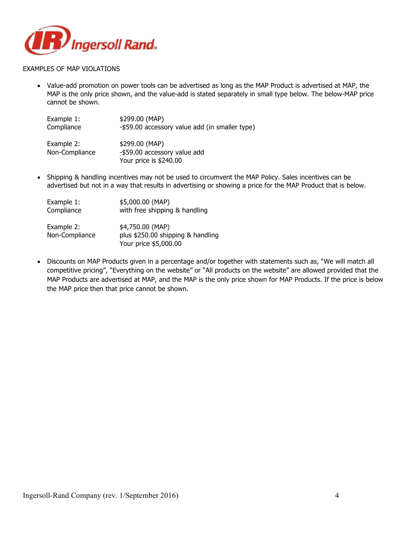

#### EXAMPLES OF MAP VIOLATIONS

• Value-add promotion on power tools can be advertised as long as the MAP Product is advertised at MAP, the MAP is the only price shown, and the value-add is stated separately in small type below. The below-MAP price cannot be shown.

| Example 1:                   | \$299.00 (MAP)                                                           |
|------------------------------|--------------------------------------------------------------------------|
| Compliance                   | -\$59.00 accessory value add (in smaller type)                           |
| Example 2:<br>Non-Compliance | \$299.00 (MAP)<br>-\$59.00 accessory value add<br>Your price is \$240.00 |

• Shipping & handling incentives may not be used to circumvent the MAP Policy. Sales incentives can be advertised but not in a way that results in advertising or showing a price for the MAP Product that is below.

| Example 1:                   | \$5,000.00 (MAP)                                                               |
|------------------------------|--------------------------------------------------------------------------------|
| Compliance                   | with free shipping & handling                                                  |
| Example 2:<br>Non-Compliance | \$4,750.00 (MAP)<br>plus \$250.00 shipping & handling<br>Your price \$5,000.00 |

• Discounts on MAP Products given in a percentage and/or together with statements such as, "We will match all competitive pricing", "Everything on the website" or "All products on the website" are allowed provided that the MAP Products are advertised at MAP, and the MAP is the only price shown for MAP Products. If the price is below the MAP price then that price cannot be shown.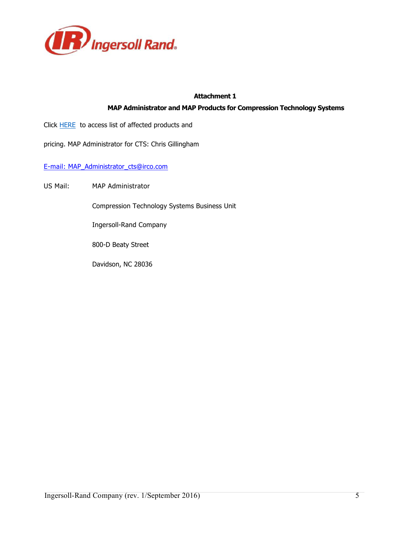

## **Attachment 1**

# **MAP Administrator and MAP Products for Compression Technology Systems**

Click **HERE** to access list of affected products and

pricing. MAP Administrator for CTS: Chris Gillingham

E-mail: MAP\_Administrator\_cts@irco.com

US Mail: MAP Administrator

Compression Technology Systems Business Unit

Ingersoll-Rand Company

800-D Beaty Street

Davidson, NC 28036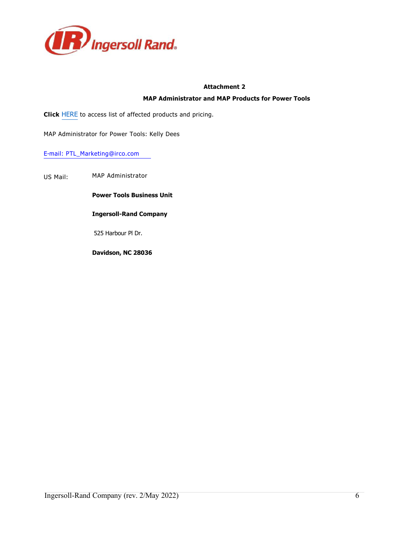

#### **Attachment 2**

#### **MAP Administrator and MAP Products for Power Tools**

**Click** HERE to access list of affected products and pricing.

MAP Administrator for Power Tools: Kelly Dees

#### E-mail: PTL\_Marketing@irco.com

US Mail: MAP Administrator

**Power Tools Business Unit** 

#### **Ingersoll-Rand Company**

525 Harbour Pl Dr.

**Davidson, NC 28036**